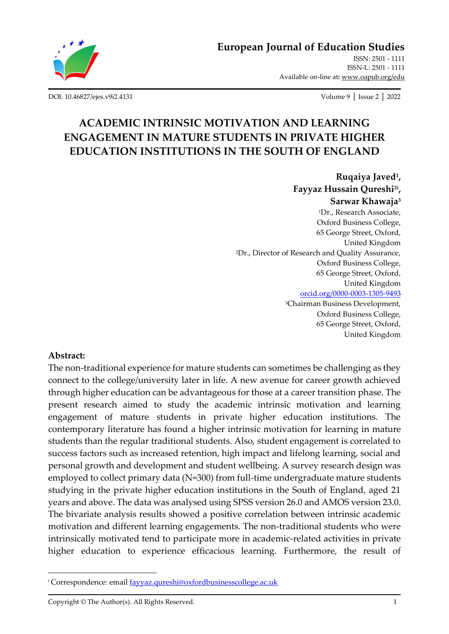

[ISSN: 2501 -](http://oapub.org/edu/index.php/ejes) 1111 [ISSN-L: 2501 -](http://oapub.org/edu/index.php/ejes) 1111 Available on-line at**:** [www.oapub.org/edu](http://www.oapub.org/edu)

[DOI: 10.46827/ejes.v9i2.4131](http://dx.doi.org/10.46827/ejes.v9i2.4131) Volume 9 │ Issue 2 │ 2022

# **ACADEMIC INTRINSIC MOTIVATION AND LEARNING ENGAGEMENT IN MATURE STUDENTS IN PRIVATE HIGHER EDUCATION INSTITUTIONS IN THE SOUTH OF ENGLAND**

**Ruqaiya Javed<sup>1</sup> , Fayyaz Hussain Qureshi2i , Sarwar Khawaja<sup>3</sup>** <sup>1</sup>Dr., Research Associate, Oxford Business College, 65 George Street, Oxford, United Kingdom <sup>2</sup>Dr., Director of Research and Quality Assurance, Oxford Business College, 65 George Street, Oxford, United Kingdom [orcid.org/0000-0003-1305-9493](https://orcid.org/0000-0003-1305-9493) <sup>3</sup>Chairman Business Development, Oxford Business College, 65 George Street, Oxford, United Kingdom

### **Abstract:**

The non-traditional experience for mature students can sometimes be challenging as they connect to the college/university later in life. A new avenue for career growth achieved through higher education can be advantageous for those at a career transition phase. The present research aimed to study the academic intrinsic motivation and learning engagement of mature students in private higher education institutions. The contemporary literature has found a higher intrinsic motivation for learning in mature students than the regular traditional students. Also, student engagement is correlated to success factors such as increased retention, high impact and lifelong learning, social and personal growth and development and student wellbeing. A survey research design was employed to collect primary data (N=300) from full-time undergraduate mature students studying in the private higher education institutions in the South of England, aged 21 years and above. The data was analysed using SPSS version 26.0 and AMOS version 23.0. The bivariate analysis results showed a positive correlation between intrinsic academic motivation and different learning engagements. The non-traditional students who were intrinsically motivated tend to participate more in academic-related activities in private higher education to experience efficacious learning. Furthermore, the result of

<sup>&</sup>lt;sup>i</sup> Correspondence: email **fayyaz.qureshi@oxfordbusinesscollege.ac.uk** 

Copyright © The Author(s). All Rights Reserved. 1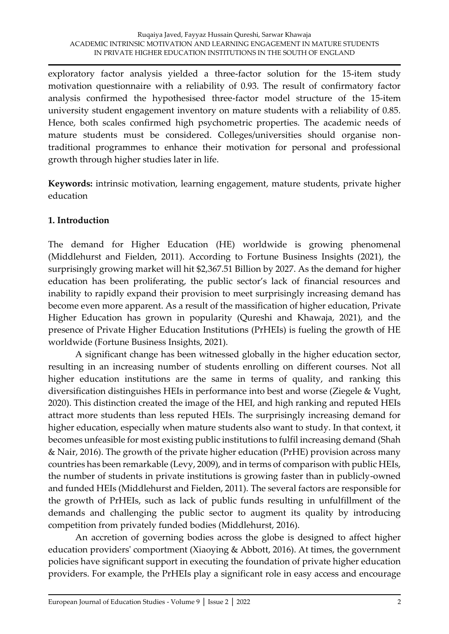exploratory factor analysis yielded a three-factor solution for the 15-item study motivation questionnaire with a reliability of 0.93. The result of confirmatory factor analysis confirmed the hypothesised three-factor model structure of the 15-item university student engagement inventory on mature students with a reliability of 0.85. Hence, both scales confirmed high psychometric properties. The academic needs of mature students must be considered. Colleges/universities should organise nontraditional programmes to enhance their motivation for personal and professional growth through higher studies later in life.

**Keywords:** intrinsic motivation, learning engagement, mature students, private higher education

### **1. Introduction**

The demand for Higher Education (HE) worldwide is growing phenomenal (Middlehurst and Fielden, 2011). According to Fortune Business Insights (2021), the surprisingly growing market will hit \$2,367.51 Billion by 2027. As the demand for higher education has been proliferating, the public sector's lack of financial resources and inability to rapidly expand their provision to meet surprisingly increasing demand has become even more apparent. As a result of the massification of higher education, Private Higher Education has grown in popularity (Qureshi and Khawaja, 2021), and the presence of Private Higher Education Institutions (PrHEIs) is fueling the growth of HE worldwide (Fortune Business Insights, 2021).

A significant change has been witnessed globally in the higher education sector, resulting in an increasing number of students enrolling on different courses. Not all higher education institutions are the same in terms of quality, and ranking this diversification distinguishes HEIs in performance into best and worse (Ziegele & Vught, 2020). This distinction created the image of the HEI, and high ranking and reputed HEIs attract more students than less reputed HEIs. The surprisingly increasing demand for higher education, especially when mature students also want to study. In that context, it becomes unfeasible for most existing public institutions to fulfil increasing demand (Shah & Nair, 2016). The growth of the private higher education (PrHE) provision across many countries has been remarkable (Levy, 2009), and in terms of comparison with public HEIs, the number of students in private institutions is growing faster than in publicly-owned and funded HEIs (Middlehurst and Fielden, 2011). The several factors are responsible for the growth of PrHEIs, such as lack of public funds resulting in unfulfillment of the demands and challenging the public sector to augment its quality by introducing competition from privately funded bodies (Middlehurst, 2016).

An accretion of governing bodies across the globe is designed to affect higher education providers' comportment (Xiaoying & Abbott, 2016). At times, the government policies have significant support in executing the foundation of private higher education providers. For example, the PrHEIs play a significant role in easy access and encourage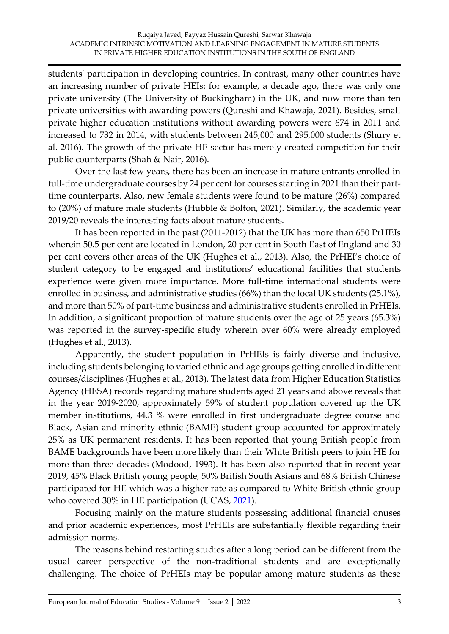students' participation in developing countries. In contrast, many other countries have an increasing number of private HEIs; for example, a decade ago, there was only one private university (The University of Buckingham) in the UK, and now more than ten private universities with awarding powers (Qureshi and Khawaja, 2021). Besides, small private higher education institutions without awarding powers were 674 in 2011 and increased to 732 in 2014, with students between 245,000 and 295,000 students (Shury et al. 2016). The growth of the private HE sector has merely created competition for their public counterparts (Shah & Nair, 2016).

Over the last few years, there has been an increase in mature entrants enrolled in full-time undergraduate courses by 24 per cent for courses starting in 2021 than their parttime counterparts. Also, new female students were found to be mature (26%) compared to (20%) of mature male students (Hubble & Bolton, 2021). Similarly, the academic year 2019/20 reveals the interesting facts about mature students.

It has been reported in the past (2011-2012) that the UK has more than 650 PrHEIs wherein 50.5 per cent are located in London, 20 per cent in South East of England and 30 per cent covers other areas of the UK (Hughes et al., 2013). Also, the PrHEI's choice of student category to be engaged and institutions' educational facilities that students experience were given more importance. More full-time international students were enrolled in business, and administrative studies (66%) than the local UK students (25.1%), and more than 50% of part-time business and administrative students enrolled in PrHEIs. In addition, a significant proportion of mature students over the age of 25 years (65.3%) was reported in the survey-specific study wherein over 60% were already employed (Hughes et al., 2013).

Apparently, the student population in PrHEIs is fairly diverse and inclusive, including students belonging to varied ethnic and age groups getting enrolled in different courses/disciplines (Hughes et al., 2013). The latest data from Higher Education Statistics Agency (HESA) records regarding mature students aged 21 years and above reveals that in the year 2019-2020, approximately 59% of student population covered up the UK member institutions, 44.3 % were enrolled in first undergraduate degree course and Black, Asian and minority ethnic (BAME) student group accounted for approximately 25% as UK permanent residents. It has been reported that young British people from BAME backgrounds have been more likely than their White British peers to join HE for more than three decades (Modood, 1993). It has been also reported that in recent year 2019, 45% Black British young people, 50% British South Asians and 68% British Chinese participated for HE which was a higher rate as compared to White British ethnic group who covered 30% in HE participation (UCAS, [2021\)](https://www.cambridge.org/core/journals/social-policy-and-society/article/what-do-we-know-about-black-and-minority-ethnic-bame-participation-in-uk-higher-education/D603F9ECA65148D8C583653E40DC02EE#r96).

Focusing mainly on the mature students possessing additional financial onuses and prior academic experiences, most PrHEIs are substantially flexible regarding their admission norms.

The reasons behind restarting studies after a long period can be different from the usual career perspective of the non-traditional students and are exceptionally challenging. The choice of PrHEIs may be popular among mature students as these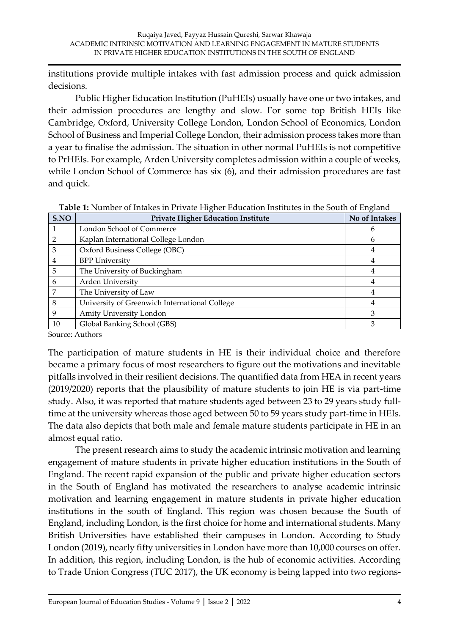institutions provide multiple intakes with fast admission process and quick admission decisions.

Public Higher Education Institution (PuHEIs) usually have one or two intakes, and their admission procedures are lengthy and slow. For some top British HEIs like Cambridge, Oxford, University College London, London School of Economics, London School of Business and Imperial College London, their admission process takes more than a year to finalise the admission. The situation in other normal PuHEIs is not competitive to PrHEIs. For example, Arden University completes admission within a couple of weeks, while London School of Commerce has six (6), and their admission procedures are fast and quick.

| S.NO | <b>Private Higher Education Institute</b>     | No of Intakes |
|------|-----------------------------------------------|---------------|
|      | London School of Commerce                     | h             |
|      | Kaplan International College London           | <sub>6</sub>  |
| 3    | Oxford Business College (OBC)                 |               |
| 4    | <b>BPP University</b>                         |               |
| 5    | The University of Buckingham                  |               |
| 6    | Arden University                              |               |
|      | The University of Law                         |               |
| 8    | University of Greenwich International College |               |
| 9    | Amity University London                       |               |
| 10   | Global Banking School (GBS)                   |               |

**Table 1:** Number of Intakes in Private Higher Education Institutes in the South of England

Source: Authors

The participation of mature students in HE is their individual choice and therefore became a primary focus of most researchers to figure out the motivations and inevitable pitfalls involved in their resilient decisions. The quantified data from HEA in recent years (2019/2020) reports that the plausibility of mature students to join HE is via part-time study. Also, it was reported that mature students aged between 23 to 29 years study fulltime at the university whereas those aged between 50 to 59 years study part-time in HEIs. The data also depicts that both male and female mature students participate in HE in an almost equal ratio.

The present research aims to study the academic intrinsic motivation and learning engagement of mature students in private higher education institutions in the South of England. The recent rapid expansion of the public and private higher education sectors in the South of England has motivated the researchers to analyse academic intrinsic motivation and learning engagement in mature students in private higher education institutions in the south of England. This region was chosen because the South of England, including London, is the first choice for home and international students. Many British Universities have established their campuses in London. According to Study London (2019), nearly fifty universities in London have more than 10,000 courses on offer. In addition, this region, including London, is the hub of economic activities. According to Trade Union Congress (TUC 2017), the UK economy is being lapped into two regions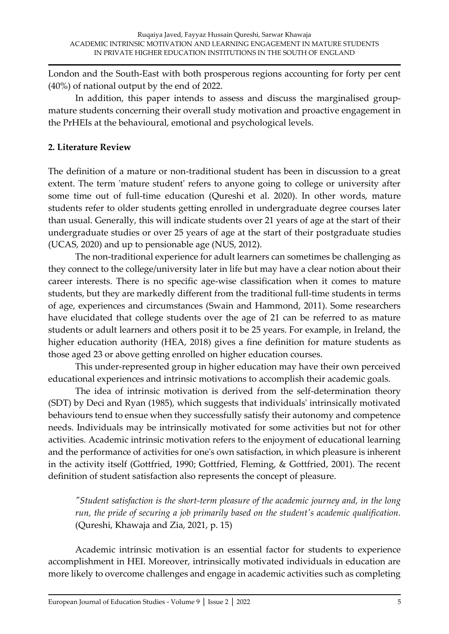London and the South-East with both prosperous regions accounting for forty per cent (40%) of national output by the end of 2022.

In addition, this paper intends to assess and discuss the marginalised groupmature students concerning their overall study motivation and proactive engagement in the PrHEIs at the behavioural, emotional and psychological levels.

## **2. Literature Review**

The definition of a mature or non-traditional student has been in discussion to a great extent. The term 'mature student' refers to anyone going to college or university after some time out of full-time education (Qureshi et al. 2020). In other words, mature students refer to older students getting enrolled in undergraduate degree courses later than usual. Generally, this will indicate students over 21 years of age at the start of their undergraduate studies or over 25 years of age at the start of their postgraduate studies (UCAS, 2020) and up to pensionable age (NUS, 2012).

The non-traditional experience for adult learners can sometimes be challenging as they connect to the college/university later in life but may have a clear notion about their career interests. There is no specific age-wise classification when it comes to mature students, but they are markedly different from the traditional full-time students in terms of age, experiences and circumstances (Swain and Hammond, 2011). Some researchers have elucidated that college students over the age of 21 can be referred to as mature students or adult learners and others posit it to be 25 years. For example, in Ireland, the higher education authority (HEA, 2018) gives a fine definition for mature students as those aged 23 or above getting enrolled on higher education courses.

This under-represented group in higher education may have their own perceived educational experiences and intrinsic motivations to accomplish their academic goals.

The idea of intrinsic motivation is derived from the self-determination theory (SDT) by Deci and Ryan (1985), which suggests that individuals' intrinsically motivated behaviours tend to ensue when they successfully satisfy their autonomy and competence needs. Individuals may be intrinsically motivated for some activities but not for other activities. Academic intrinsic motivation refers to the enjoyment of educational learning and the performance of activities for one's own satisfaction, in which pleasure is inherent in the activity itself (Gottfried, 1990; Gottfried, Fleming, & Gottfried, 2001). The recent definition of student satisfaction also represents the concept of pleasure.

*"Student satisfaction is the short-term pleasure of the academic journey and, in the long run, the pride of securing a job primarily based on the student's academic qualification.* (Qureshi, Khawaja and Zia, 2021, p. 15)

Academic intrinsic motivation is an essential factor for students to experience accomplishment in HEI. Moreover, intrinsically motivated individuals in education are more likely to overcome challenges and engage in academic activities such as completing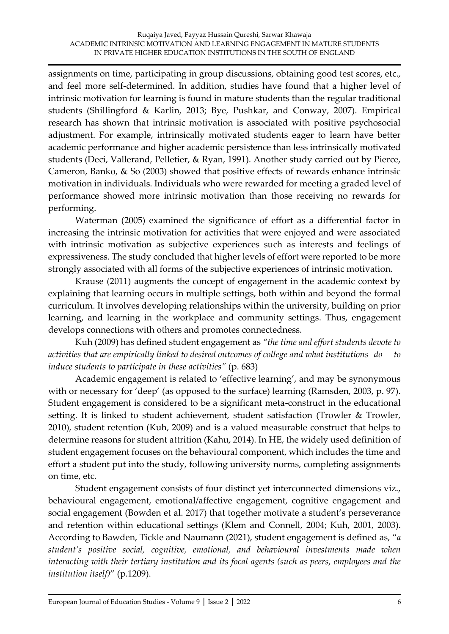assignments on time, participating in group discussions, obtaining good test scores, etc., and feel more self-determined. In addition, studies have found that a higher level of intrinsic motivation for learning is found in mature students than the regular traditional students (Shillingford & Karlin, 2013; Bye, Pushkar, and Conway, 2007). Empirical research has shown that intrinsic motivation is associated with positive psychosocial adjustment. For example, intrinsically motivated students eager to learn have better academic performance and higher academic persistence than less intrinsically motivated students (Deci, Vallerand, Pelletier, & Ryan, 1991). Another study carried out by Pierce, Cameron, Banko, & So (2003) showed that positive effects of rewards enhance intrinsic motivation in individuals. Individuals who were rewarded for meeting a graded level of performance showed more intrinsic motivation than those receiving no rewards for performing.

Waterman (2005) examined the significance of effort as a differential factor in increasing the intrinsic motivation for activities that were enjoyed and were associated with intrinsic motivation as subjective experiences such as interests and feelings of expressiveness. The study concluded that higher levels of effort were reported to be more strongly associated with all forms of the subjective experiences of intrinsic motivation.

Krause (2011) augments the concept of engagement in the academic context by explaining that learning occurs in multiple settings, both within and beyond the formal curriculum. It involves developing relationships within the university, building on prior learning, and learning in the workplace and community settings. Thus, engagement develops connections with others and promotes connectedness.

Kuh (2009) has defined student engagement as *"the time and effort students devote to activities that are empirically linked to desired outcomes of college and what institutions do to induce students to participate in these activities"* (p. 683)

Academic engagement is related to 'effective learning', and may be synonymous with or necessary for 'deep' (as opposed to the surface) learning (Ramsden, 2003, p. 97). Student engagement is considered to be a significant meta-construct in the educational setting. It is linked to student achievement, student satisfaction (Trowler & Trowler, 2010), student retention (Kuh, 2009) and is a valued measurable construct that helps to determine reasons for student attrition (Kahu, 2014). In HE, the widely used definition of student engagement focuses on the behavioural component, which includes the time and effort a student put into the study, following university norms, completing assignments on time, etc.

Student engagement consists of four distinct yet interconnected dimensions viz., behavioural engagement, emotional/affective engagement, cognitive engagement and social engagement (Bowden et al. 2017) that together motivate a student's perseverance and retention within educational settings (Klem and Connell, 2004; Kuh, 2001, 2003). According to Bawden, Tickle and Naumann (2021), student engagement is defined as, "*a student's positive social, cognitive, emotional, and behavioural investments made when interacting with their tertiary institution and its focal agents (such as peers, employees and the institution itself)*" (p.1209).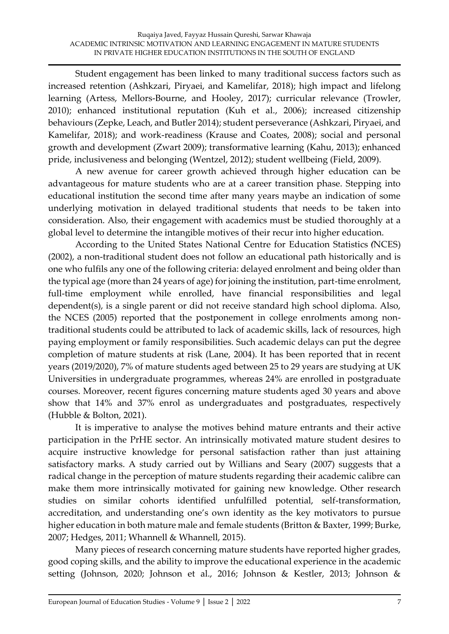Student engagement has been linked to many traditional success factors such as increased retention (Ashkzari, Piryaei, and Kamelifar, 2018); high impact and lifelong learning (Artess, Mellors-Bourne, and Hooley, 2017); curricular relevance (Trowler, 2010); enhanced institutional reputation (Kuh et al., 2006); increased citizenship behaviours (Zepke, Leach, and Butler 2014); student perseverance (Ashkzari, Piryaei, and Kamelifar, 2018); and work-readiness (Krause and Coates, 2008); social and personal growth and development (Zwart 2009); transformative learning (Kahu, 2013); enhanced pride, inclusiveness and belonging (Wentzel, 2012); student wellbeing (Field, 2009).

A new avenue for career growth achieved through higher education can be advantageous for mature students who are at a career transition phase. Stepping into educational institution the second time after many years maybe an indication of some underlying motivation in delayed traditional students that needs to be taken into consideration. Also, their engagement with academics must be studied thoroughly at a global level to determine the intangible motives of their recur into higher education.

According to the United States National Centre for Education Statistics *(*NCES) (2002), a non-traditional student does not follow an educational path historically and is one who fulfils any one of the following criteria: delayed enrolment and being older than the typical age (more than 24 years of age) for joining the institution, part-time enrolment, full-time employment while enrolled, have financial responsibilities and legal dependent(s), is a single parent or did not receive standard high school diploma. Also, the NCES (2005) reported that the postponement in college enrolments among nontraditional students could be attributed to lack of academic skills, lack of resources, high paying employment or family responsibilities. Such academic delays can put the degree completion of mature students at risk (Lane, 2004). It has been reported that in recent years (2019/2020), 7% of mature students aged between 25 to 29 years are studying at UK Universities in undergraduate programmes, whereas 24% are enrolled in postgraduate courses. Moreover, recent figures concerning mature students aged 30 years and above show that 14% and 37% enrol as undergraduates and postgraduates, respectively (Hubble & Bolton, 2021).

It is imperative to analyse the motives behind mature entrants and their active participation in the PrHE sector. An intrinsically motivated mature student desires to acquire instructive knowledge for personal satisfaction rather than just attaining satisfactory marks. A study carried out by Willians and Seary (2007) suggests that a radical change in the perception of mature students regarding their academic calibre can make them more intrinsically motivated for gaining new knowledge. Other research studies on similar cohorts identified unfulfilled potential, self-transformation, accreditation, and understanding one's own identity as the key motivators to pursue higher education in both mature male and female students (Britton & Baxter, 1999; Burke, 2007; Hedges, 2011; Whannell & Whannell, 2015).

Many pieces of research concerning mature students have reported higher grades, good coping skills, and the ability to improve the educational experience in the academic setting (Johnson, 2020; Johnson et al., 2016; Johnson & Kestler, 2013; Johnson &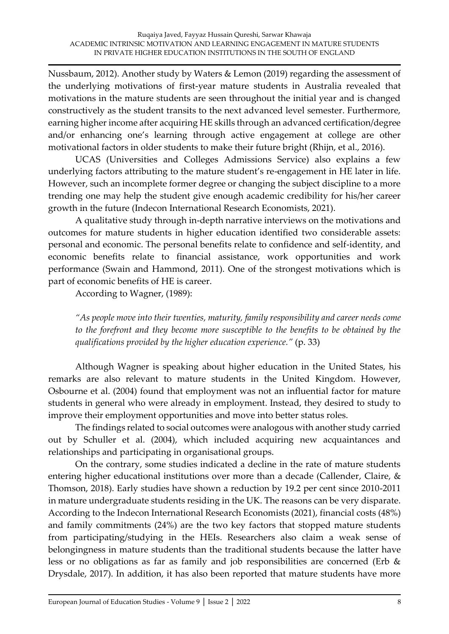Nussbaum, 2012). Another study by Waters & Lemon (2019) regarding the assessment of the underlying motivations of first-year mature students in Australia revealed that motivations in the mature students are seen throughout the initial year and is changed constructively as the student transits to the next advanced level semester. Furthermore, earning higher income after acquiring HE skills through an advanced certification/degree and/or enhancing one's learning through active engagement at college are other motivational factors in older students to make their future bright (Rhijn, et al., 2016).

UCAS (Universities and Colleges Admissions Service) also explains a few underlying factors attributing to the mature student's re-engagement in HE later in life. However, such an incomplete former degree or changing the subject discipline to a more trending one may help the student give enough academic credibility for his/her career growth in the future (Indecon International Research Economists, 2021).

A qualitative study through in-depth narrative interviews on the motivations and outcomes for mature students in higher education identified two considerable assets: personal and economic. The personal benefits relate to confidence and self-identity, and economic benefits relate to financial assistance, work opportunities and work performance (Swain and Hammond, 2011). One of the strongest motivations which is part of economic benefits of HE is career.

According to Wagner, (1989):

*"As people move into their twenties, maturity, family responsibility and career needs come to the forefront and they become more susceptible to the benefits to be obtained by the qualifications provided by the higher education experience."* (p. 33)

Although Wagner is speaking about higher education in the United States, his remarks are also relevant to mature students in the United Kingdom. However, Osbourne et al. (2004) found that employment was not an influential factor for mature students in general who were already in employment. Instead, they desired to study to improve their employment opportunities and move into better status roles.

The findings related to social outcomes were analogous with another study carried out by Schuller et al. (2004), which included acquiring new acquaintances and relationships and participating in organisational groups.

On the contrary, some studies indicated a decline in the rate of mature students entering higher educational institutions over more than a decade (Callender, Claire, & Thomson, 2018). Early studies have shown a reduction by 19.2 per cent since 2010-2011 in mature undergraduate students residing in the UK. The reasons can be very disparate. According to the Indecon International Research Economists (2021), financial costs (48%) and family commitments (24%) are the two key factors that stopped mature students from participating/studying in the HEIs. Researchers also claim a weak sense of belongingness in mature students than the traditional students because the latter have less or no obligations as far as family and job responsibilities are concerned (Erb & Drysdale, 2017). In addition, it has also been reported that mature students have more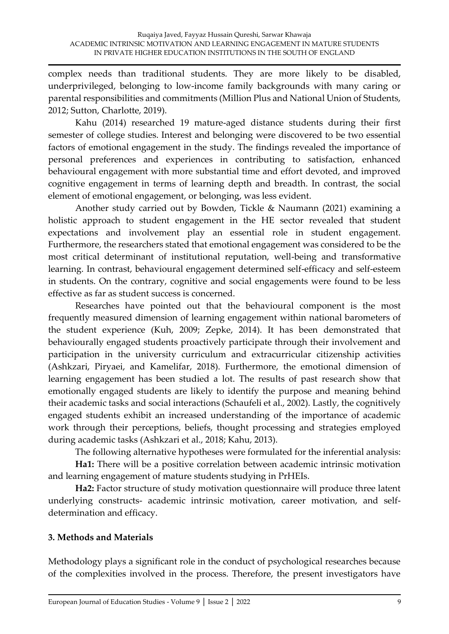complex needs than traditional students. They are more likely to be disabled, underprivileged, belonging to low-income family backgrounds with many caring or parental responsibilities and commitments (Million Plus and National Union of Students, 2012; Sutton, Charlotte, 2019).

Kahu (2014) researched 19 mature-aged distance students during their first semester of college studies. Interest and belonging were discovered to be two essential factors of emotional engagement in the study. The findings revealed the importance of personal preferences and experiences in contributing to satisfaction, enhanced behavioural engagement with more substantial time and effort devoted, and improved cognitive engagement in terms of learning depth and breadth. In contrast, the social element of emotional engagement, or belonging, was less evident.

Another study carried out by Bowden, Tickle & Naumann (2021) examining a holistic approach to student engagement in the HE sector revealed that student expectations and involvement play an essential role in student engagement. Furthermore, the researchers stated that emotional engagement was considered to be the most critical determinant of institutional reputation, well-being and transformative learning. In contrast, behavioural engagement determined self-efficacy and self-esteem in students. On the contrary, cognitive and social engagements were found to be less effective as far as student success is concerned.

Researches have pointed out that the behavioural component is the most frequently measured dimension of learning engagement within national barometers of the student experience (Kuh, 2009; Zepke, 2014). It has been demonstrated that behaviourally engaged students proactively participate through their involvement and participation in the university curriculum and extracurricular citizenship activities (Ashkzari, Piryaei, and Kamelifar, 2018). Furthermore, the emotional dimension of learning engagement has been studied a lot. The results of past research show that emotionally engaged students are likely to identify the purpose and meaning behind their academic tasks and social interactions (Schaufeli et al., 2002). Lastly, the cognitively engaged students exhibit an increased understanding of the importance of academic work through their perceptions, beliefs, thought processing and strategies employed during academic tasks (Ashkzari et al., 2018; Kahu, 2013).

The following alternative hypotheses were formulated for the inferential analysis:

**Ha1:** There will be a positive correlation between academic intrinsic motivation and learning engagement of mature students studying in PrHEIs.

**Ha2:** Factor structure of study motivation questionnaire will produce three latent underlying constructs- academic intrinsic motivation, career motivation, and selfdetermination and efficacy.

# **3. Methods and Materials**

Methodology plays a significant role in the conduct of psychological researches because of the complexities involved in the process. Therefore, the present investigators have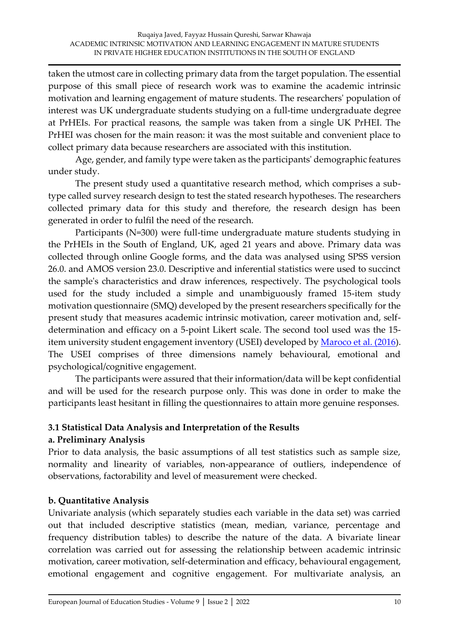taken the utmost care in collecting primary data from the target population. The essential purpose of this small piece of research work was to examine the academic intrinsic motivation and learning engagement of mature students. The researchers' population of interest was UK undergraduate students studying on a full-time undergraduate degree at PrHEIs. For practical reasons, the sample was taken from a single UK PrHEI. The PrHEI was chosen for the main reason: it was the most suitable and convenient place to collect primary data because researchers are associated with this institution.

Age, gender, and family type were taken as the participants' demographic features under study.

The present study used a quantitative research method, which comprises a subtype called survey research design to test the stated research hypotheses. The researchers collected primary data for this study and therefore, the research design has been generated in order to fulfil the need of the research.

Participants (N=300) were full-time undergraduate mature students studying in the PrHEIs in the South of England, UK, aged 21 years and above. Primary data was collected through online Google forms, and the data was analysed using SPSS version 26.0. and AMOS version 23.0. Descriptive and inferential statistics were used to succinct the sample's characteristics and draw inferences, respectively. The psychological tools used for the study included a simple and unambiguously framed 15-item study motivation questionnaire (SMQ) developed by the present researchers specifically for the present study that measures academic intrinsic motivation, career motivation and, selfdetermination and efficacy on a 5-point Likert scale. The second tool used was the 15- item university student engagement inventory (USEI) developed by [Maroco et al. \(2016\)](https://www.frontiersin.org/articles/10.3389/fpsyg.2019.02796/full#B34). The USEI comprises of three dimensions namely behavioural, emotional and psychological/cognitive engagement.

The participants were assured that their information/data will be kept confidential and will be used for the research purpose only. This was done in order to make the participants least hesitant in filling the questionnaires to attain more genuine responses.

# **3.1 Statistical Data Analysis and Interpretation of the Results**

### **a. Preliminary Analysis**

Prior to data analysis, the basic assumptions of all test statistics such as sample size, normality and linearity of variables, non-appearance of outliers, independence of observations, factorability and level of measurement were checked.

### **b. Quantitative Analysis**

Univariate analysis (which separately studies each variable in the data set) was carried out that included descriptive statistics (mean, median, variance, percentage and frequency distribution tables) to describe the nature of the data. A bivariate linear correlation was carried out for assessing the relationship between academic intrinsic motivation, career motivation, self-determination and efficacy, behavioural engagement, emotional engagement and cognitive engagement. For multivariate analysis, an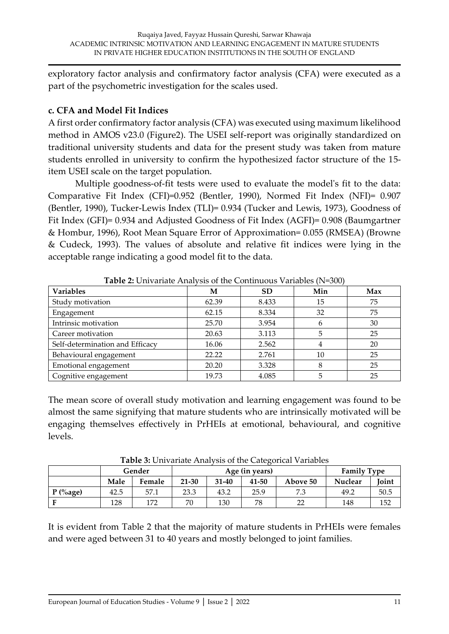exploratory factor analysis and confirmatory factor analysis (CFA) were executed as a part of the psychometric investigation for the scales used.

## **c. CFA and Model Fit Indices**

A first order confirmatory factor analysis (CFA) was executed using maximum likelihood method in AMOS v23.0 (Figure2). The USEI self-report was originally standardized on traditional university students and data for the present study was taken from mature students enrolled in university to confirm the hypothesized factor structure of the 15 item USEI scale on the target population.

Multiple goodness-of-fit tests were used to evaluate the model's fit to the data: Comparative Fit Index (CFI)=0.952 (Bentler, 1990), Normed Fit Index (NFI)= 0.907 (Bentler, 1990), Tucker-Lewis Index (TLI)= 0.934 (Tucker and Lewis, 1973), Goodness of Fit Index (GFI)= 0.934 and Adjusted Goodness of Fit Index (AGFI)= 0.908 (Baumgartner & Hombur, 1996), Root Mean Square Error of Approximation= 0.055 (RMSEA) (Browne & Cudeck, 1993). The values of absolute and relative fit indices were lying in the acceptable range indicating a good model fit to the data.

| <b>Variables</b>                | М     | SD    | Min | Max |  |  |  |
|---------------------------------|-------|-------|-----|-----|--|--|--|
| Study motivation                | 62.39 | 8.433 | 15  | 75  |  |  |  |
| Engagement                      | 62.15 | 8.334 | 32  | 75  |  |  |  |
| Intrinsic motivation            | 25.70 | 3.954 | 6   | 30  |  |  |  |
| Career motivation               | 20.63 | 3.113 | 5   | 25  |  |  |  |
| Self-determination and Efficacy | 16.06 | 2.562 | 4   | 20  |  |  |  |
| Behavioural engagement          | 22.22 | 2.761 | 10  | 25  |  |  |  |
| Emotional engagement            | 20.20 | 3.328 | 8   | 25  |  |  |  |
| Cognitive engagement            | 19.73 | 4.085 | 5   | 25  |  |  |  |

**Table 2:** Univariate Analysis of the Continuous Variables (N=300)

The mean score of overall study motivation and learning engagement was found to be almost the same signifying that mature students who are intrinsically motivated will be engaging themselves effectively in PrHEIs at emotional, behavioural, and cognitive levels.

| Tubic of Chivalian Philary one of the Cancelotical Variables |      |        |           |                |       |          |                    |       |
|--------------------------------------------------------------|------|--------|-----------|----------------|-------|----------|--------------------|-------|
|                                                              |      | Gender |           | Age (in years) |       |          | <b>Family Type</b> |       |
|                                                              | Male | Female | $21 - 30$ | $31 - 40$      | 41-50 | Above 50 | <b>Nuclear</b>     | Joint |
| $P$ (%age)                                                   | 42.5 | 57.1   | 23.3      | 43.2           | 25.9  | 7.3      | 49.2               | 50.5  |
|                                                              | 128  | 172    | 70        | 130            | 78    |          | 148                | 152   |

**Table 3:** Univariate Analysis of the Categorical Variables

It is evident from Table 2 that the majority of mature students in PrHEIs were females and were aged between 31 to 40 years and mostly belonged to joint families.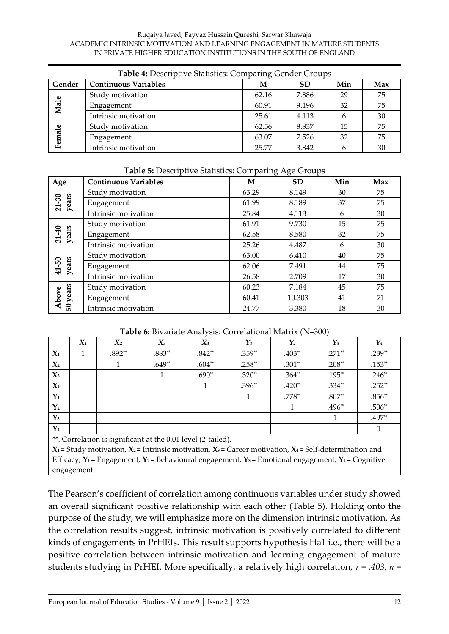#### Ruqaiya Javed, Fayyaz Hussain Qureshi, Sarwar Khawaja ACADEMIC INTRINSIC MOTIVATION AND LEARNING ENGAGEMENT IN MATURE STUDENTS IN PRIVATE HIGHER EDUCATION INSTITUTIONS IN THE SOUTH OF ENGLAND

| Table 4: Descriptive Statistics: Comparing Gender Groups |                                                      |       |       |    |    |  |  |
|----------------------------------------------------------|------------------------------------------------------|-------|-------|----|----|--|--|
| Gender                                                   | <b>Continuous Variables</b><br>Min<br><b>SD</b><br>М |       |       |    |    |  |  |
|                                                          | Study motivation                                     | 62.16 | 7.886 | 29 | 75 |  |  |
| Male                                                     | Engagement                                           | 60.91 | 9.196 | 32 | 75 |  |  |
|                                                          | Intrinsic motivation                                 | 25.61 | 4.113 | b  | 30 |  |  |
|                                                          | Study motivation                                     | 62.56 | 8.837 | 15 | 75 |  |  |
| Female                                                   | Engagement                                           | 63.07 | 7.526 | 32 | 75 |  |  |
|                                                          | Intrinsic motivation                                 | 25.77 | 3.842 | h  | 30 |  |  |

### **Table 5:** Descriptive Statistics: Comparing Age Groups

| Age                | <b>Continuous Variables</b> | М     | <b>SD</b> | Min | Max |
|--------------------|-----------------------------|-------|-----------|-----|-----|
|                    | Study motivation            | 63.29 | 8.149     | 30  | 75  |
| years<br>$21 - 30$ | Engagement                  | 61.99 | 8.189     | 37  | 75  |
|                    | Intrinsic motivation        | 25.84 | 4.113     | 6   | 30  |
|                    | Study motivation            | 61.91 | 9.730     | 15  | 75  |
| years<br>$31 - 40$ | Engagement                  | 62.58 | 8.580     | 32  | 75  |
|                    | Intrinsic motivation        | 25.26 | 4.487     | 6   | 30  |
|                    | Study motivation            | 63.00 | 6.410     | 40  | 75  |
| years<br>41-50     | Engagement                  | 62.06 | 7.491     | 44  | 75  |
|                    | Intrinsic motivation        | 26.58 | 2.709     | 17  | 30  |
|                    | Study motivation            | 60.23 | 7.184     | 45  | 75  |
| years<br>Above     | Engagement                  | 60.41 | 10.303    | 41  | 71  |
| 50                 | Intrinsic motivation        | 24.77 | 3.380     | 18  | 30  |

### **Table 6:** Bivariate Analysis: Correlational Matrix (N=300)

|                |       |                |          |          |          |                         | $\overline{\phantom{a}}$ |                         |
|----------------|-------|----------------|----------|----------|----------|-------------------------|--------------------------|-------------------------|
|                | $X_1$ | X <sub>2</sub> | $X_3$    | $X_4$    | $Y_1$    | $\boldsymbol{\gamma_2}$ | $\gamma_3$               | $\boldsymbol{\gamma_4}$ |
| $\mathbf{X}_1$ |       | $.892**$       | $.883**$ | $.842**$ | .359**   | .403**                  | $.271**$                 | $.239**$                |
| $\mathbf{X}_2$ |       |                | $.649**$ | $.604**$ | $.258**$ | $.301**$                | $.208**$                 | $.153**$                |
| $\chi_3$       |       |                |          | $.690**$ | $.320**$ | $.364**$                | $.195**$                 | $.246**$                |
| $\mathbf{X}_4$ |       |                |          |          | .396**   | $.420**$                | $.334**$                 | $.252**$                |
| $Y_1$          |       |                |          |          |          | $.778^{\ast\ast}$       | $.807**$                 | $.856**$                |
| $Y_2$          |       |                |          |          |          |                         | .496**                   | $.506**$                |
| $\mathbf{Y}_3$ |       |                |          |          |          |                         |                          | $.497**$                |
| $\mathbf{Y}_4$ |       |                |          |          |          |                         |                          |                         |

\*\*. Correlation is significant at the 0.01 level (2-tailed).

**X**<sub>1</sub> = Study motivation, **X**<sub>2</sub> = Intrinsic motivation, **X**<sub>3</sub> = Career motivation, **X**<sub>4</sub> = Self-determination and Efficacy, **Y<sup>1</sup> =** Engagement, **Y<sup>2</sup> =** Behavioural engagement, **Y<sup>3</sup> =** Emotional engagement, **Y<sup>4</sup> =** Cognitive engagement

The Pearson's coefficient of correlation among continuous variables under study showed an overall significant positive relationship with each other (Table 5). Holding onto the purpose of the study, we will emphasize more on the dimension intrinsic motivation. As the correlation results suggest, intrinsic motivation is positively correlated to different kinds of engagements in PrHEIs. This result supports hypothesis Ha1 i.e., there will be a positive correlation between intrinsic motivation and learning engagement of mature students studying in PrHEI. More specifically, a relatively high correlation,  $r = .403$ ,  $n =$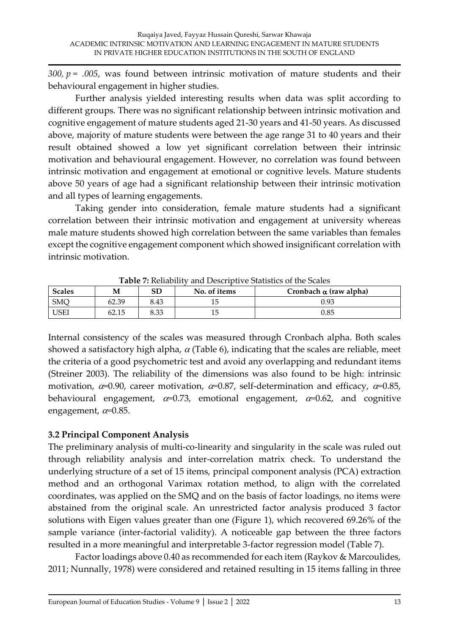$300$ ,  $p = .005$ , was found between intrinsic motivation of mature students and their behavioural engagement in higher studies.

Further analysis yielded interesting results when data was split according to different groups. There was no significant relationship between intrinsic motivation and cognitive engagement of mature students aged 21-30 years and 41-50 years. As discussed above, majority of mature students were between the age range 31 to 40 years and their result obtained showed a low yet significant correlation between their intrinsic motivation and behavioural engagement. However, no correlation was found between intrinsic motivation and engagement at emotional or cognitive levels. Mature students above 50 years of age had a significant relationship between their intrinsic motivation and all types of learning engagements.

Taking gender into consideration, female mature students had a significant correlation between their intrinsic motivation and engagement at university whereas male mature students showed high correlation between the same variables than females except the cognitive engagement component which showed insignificant correlation with intrinsic motivation.

| <b>Scales</b><br>SD<br>No. of items<br>M |       |      |  | Cronbach $\alpha$ (raw alpha) |
|------------------------------------------|-------|------|--|-------------------------------|
| <b>SMQ</b>                               | 62.39 | 8.43 |  | 0.93                          |
| <b>USEI</b>                              | 62.15 | 8.33 |  | 0.85                          |

**Table 7:** Reliability and Descriptive Statistics of the Scales

Internal consistency of the scales was measured through Cronbach alpha. Both scales showed a satisfactory high alpha,  $\alpha$  (Table 6), indicating that the scales are reliable, meet the criteria of a good psychometric test and avoid any overlapping and redundant items (Streiner 2003). The reliability of the dimensions was also found to be high: intrinsic motivation,  $\alpha$ =0.90, career motivation,  $\alpha$ =0.87, self-determination and efficacy,  $\alpha$ =0.85, behavioural engagement,  $\alpha=0.73$ , emotional engagement,  $\alpha=0.62$ , and cognitive engagement,  $\alpha$ =0.85.

# **3.2 Principal Component Analysis**

The preliminary analysis of multi-co-linearity and singularity in the scale was ruled out through reliability analysis and inter-correlation matrix check. To understand the underlying structure of a set of 15 items, principal component analysis (PCA) extraction method and an orthogonal Varimax rotation method, to align with the correlated coordinates, was applied on the SMQ and on the basis of factor loadings, no items were abstained from the original scale. An unrestricted factor analysis produced 3 factor solutions with Eigen values greater than one (Figure 1), which recovered 69.26% of the sample variance (inter-factorial validity). A noticeable gap between the three factors resulted in a more meaningful and interpretable 3-factor regression model (Table 7).

Factor loadings above 0.40 as recommended for each item (Raykov & Marcoulides, 2011; Nunnally, 1978) were considered and retained resulting in 15 items falling in three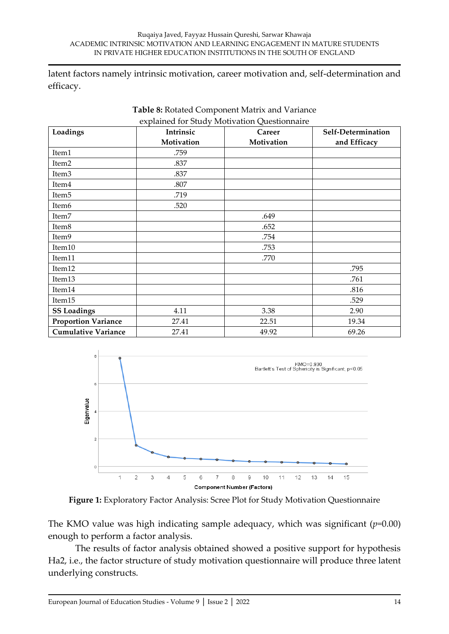latent factors namely intrinsic motivation, career motivation and, self-determination and efficacy.

| Loadings                   | Intrinsic  | Career     | Self-Determination |
|----------------------------|------------|------------|--------------------|
|                            | Motivation | Motivation | and Efficacy       |
| Item1                      | .759       |            |                    |
| Item2                      | .837       |            |                    |
| Item <sub>3</sub>          | .837       |            |                    |
| Item <sub>4</sub>          | .807       |            |                    |
| Item <sub>5</sub>          | .719       |            |                    |
| Item <sub>6</sub>          | .520       |            |                    |
| Item7                      |            | .649       |                    |
| Item <sub>8</sub>          |            | .652       |                    |
| Item9                      |            | .754       |                    |
| Item10                     |            | .753       |                    |
| Item11                     |            | .770       |                    |
| Item12                     |            |            | .795               |
| Item13                     |            |            | .761               |
| Item14                     |            |            | .816               |
| Item15                     |            |            | .529               |
| <b>SS Loadings</b>         | 4.11       | 3.38       | 2.90               |
| <b>Proportion Variance</b> | 27.41      | 22.51      | 19.34              |
| <b>Cumulative Variance</b> | 27.41      | 49.92      | 69.26              |





**Figure 1:** Exploratory Factor Analysis: Scree Plot for Study Motivation Questionnaire

The KMO value was high indicating sample adequacy, which was significant (*p=*0.00) enough to perform a factor analysis.

The results of factor analysis obtained showed a positive support for hypothesis Ha2, i.e., the factor structure of study motivation questionnaire will produce three latent underlying constructs.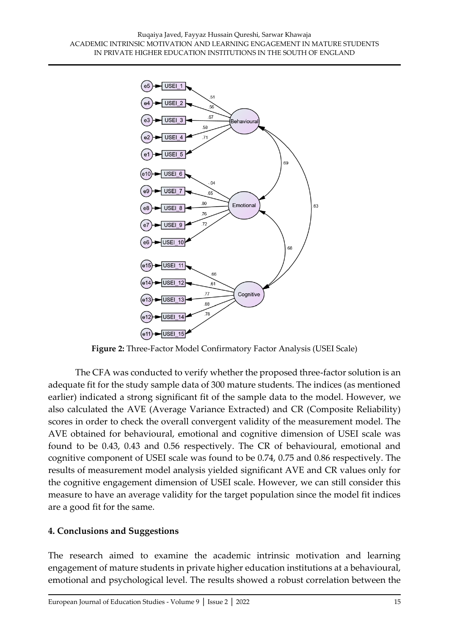

**Figure 2:** Three-Factor Model Confirmatory Factor Analysis (USEI Scale)

The CFA was conducted to verify whether the proposed three-factor solution is an adequate fit for the study sample data of 300 mature students. The indices (as mentioned earlier) indicated a strong significant fit of the sample data to the model. However, we also calculated the AVE (Average Variance Extracted) and CR (Composite Reliability) scores in order to check the overall convergent validity of the measurement model. The AVE obtained for behavioural, emotional and cognitive dimension of USEI scale was found to be 0.43, 0.43 and 0.56 respectively. The CR of behavioural, emotional and cognitive component of USEI scale was found to be 0.74, 0.75 and 0.86 respectively. The results of measurement model analysis yielded significant AVE and CR values only for the cognitive engagement dimension of USEI scale. However, we can still consider this measure to have an average validity for the target population since the model fit indices are a good fit for the same.

### **4. Conclusions and Suggestions**

The research aimed to examine the academic intrinsic motivation and learning engagement of mature students in private higher education institutions at a behavioural, emotional and psychological level. The results showed a robust correlation between the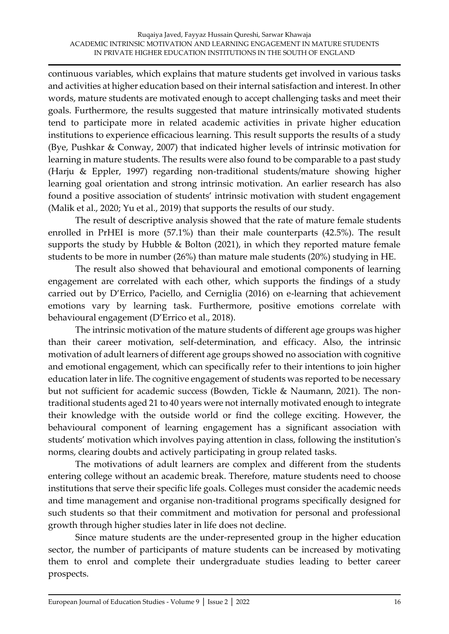continuous variables, which explains that mature students get involved in various tasks and activities at higher education based on their internal satisfaction and interest. In other words, mature students are motivated enough to accept challenging tasks and meet their goals. Furthermore, the results suggested that mature intrinsically motivated students tend to participate more in related academic activities in private higher education institutions to experience efficacious learning. This result supports the results of a study (Bye, Pushkar & Conway, 2007) that indicated higher levels of intrinsic motivation for learning in mature students. The results were also found to be comparable to a past study (Harju & Eppler, 1997) regarding non-traditional students/mature showing higher learning goal orientation and strong intrinsic motivation. An earlier research has also found a positive association of students' intrinsic motivation with student engagement (Malik et al., [2020;](https://www.tandfonline.com/doi/full/10.1080/0144929X.2021.1917660) Yu et al., [2019\)](https://www.tandfonline.com/doi/full/10.1080/0144929X.2021.1917660) that supports the results of our study.

The result of descriptive analysis showed that the rate of mature female students enrolled in PrHEI is more (57.1%) than their male counterparts (42.5%). The result supports the study by Hubble & Bolton (2021), in which they reported mature female students to be more in number (26%) than mature male students (20%) studying in HE.

The result also showed that behavioural and emotional components of learning engagement are correlated with each other, which supports the findings of a study carried out by D'Errico, Paciello, and Cerniglia (2016) on e-learning that achievement emotions vary by learning task. Furthermore, positive emotions correlate with behavioural engagement (D'Errico et al., 2018).

The intrinsic motivation of the mature students of different age groups was higher than their career motivation, self-determination, and efficacy. Also, the intrinsic motivation of adult learners of different age groups showed no association with cognitive and emotional engagement, which can specifically refer to their intentions to join higher education later in life. The cognitive engagement of students was reported to be necessary but not sufficient for academic success (Bowden, Tickle & Naumann, 2021). The nontraditional students aged 21 to 40 years were not internally motivated enough to integrate their knowledge with the outside world or find the college exciting. However, the behavioural component of learning engagement has a significant association with students' motivation which involves paying attention in class, following the institution's norms, clearing doubts and actively participating in group related tasks.

The motivations of adult learners are complex and different from the students entering college without an academic break. Therefore, mature students need to choose institutions that serve their specific life goals. Colleges must consider the academic needs and time management and organise non-traditional programs specifically designed for such students so that their commitment and motivation for personal and professional growth through higher studies later in life does not decline.

Since mature students are the under-represented group in the higher education sector, the number of participants of mature students can be increased by motivating them to enrol and complete their undergraduate studies leading to better career prospects.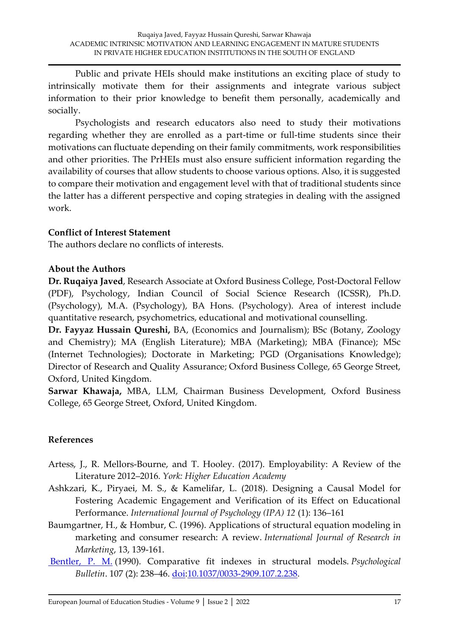Public and private HEIs should make institutions an exciting place of study to intrinsically motivate them for their assignments and integrate various subject information to their prior knowledge to benefit them personally, academically and socially.

Psychologists and research educators also need to study their motivations regarding whether they are enrolled as a part-time or full-time students since their motivations can fluctuate depending on their family commitments, work responsibilities and other priorities. The PrHEIs must also ensure sufficient information regarding the availability of courses that allow students to choose various options. Also, it is suggested to compare their motivation and engagement level with that of traditional students since the latter has a different perspective and coping strategies in dealing with the assigned work.

### **Conflict of Interest Statement**

The authors declare no conflicts of interests.

### **About the Authors**

**Dr. Ruqaiya Javed**, Research Associate at Oxford Business College, Post-Doctoral Fellow (PDF), Psychology, Indian Council of Social Science Research (ICSSR), Ph.D. (Psychology), M.A. (Psychology), BA Hons. (Psychology). Area of interest include quantitative research, psychometrics, educational and motivational counselling.

**Dr. Fayyaz Hussain Qureshi,** BA, (Economics and Journalism); BSc (Botany, Zoology and Chemistry); MA (English Literature); MBA (Marketing); MBA (Finance); MSc (Internet Technologies); Doctorate in Marketing; PGD (Organisations Knowledge); Director of Research and Quality Assurance; Oxford Business College, 65 George Street, Oxford, United Kingdom.

**Sarwar Khawaja,** MBA, LLM, Chairman Business Development, Oxford Business College, 65 George Street, Oxford, United Kingdom.

### **References**

- Artess, J., R. Mellors-Bourne, and T. Hooley. (2017). Employability: A Review of the Literature 2012–2016. *York: Higher Education Academy*
- Ashkzari, K., Piryaei, M. S., & Kamelifar, L. (2018). Designing a Causal Model for Fostering Academic Engagement and Verification of its Effect on Educational Performance. *International Journal of Psychology (IPA) 12* (1): 136–161
- Baumgartner, H., & Hombur, C. (1996). Applications of structural equation modeling in marketing and consumer research: A review. *International Journal of Research in Marketing*, 13, 139-161.
- [Bentler, P. M.](https://en.wikipedia.org/wiki/Peter_M._Bentler) (1990). Comparative fit indexes in structural models. *Psychological Bulletin*. 107 (2): 238–46. [doi](https://en.wikipedia.org/wiki/Doi_(identifier))[:10.1037/0033-2909.107.2.238.](https://doi.org/10.1037%2F0033-2909.107.2.238)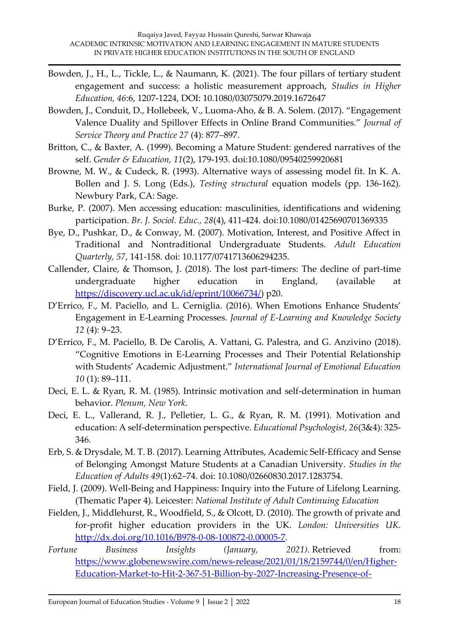- Bowden, J., H., L., Tickle, L., & Naumann, K. (2021). The four pillars of tertiary student engagement and success: a holistic measurement approach, *Studies in Higher Education, 46*:6, 1207-1224, DOI: 10.1080/03075079.2019.1672647
- Bowden, J., Conduit, D., Hollebeek, V., Luoma-Aho, & B. A. Solem. (2017). "Engagement Valence Duality and Spillover Effects in Online Brand Communities." *Journal of Service Theory and Practice 27* (4): 877–897.
- Britton, C., & Baxter, A. (1999). Becoming a Mature Student: gendered narratives of the self. *Gender & Education, 11*(2), 179-193. doi:10.1080/09540259920681
- Browne, M. W., & Cudeck, R. (1993). Alternative ways of assessing model fit. In K. A. Bollen and J. S. Long (Eds.), *Testing structural* equation models (pp. 136-162). Newbury Park, CA: Sage.
- Burke, P. (2007). Men accessing education: masculinities, identifications and widening participation. *Br. J. Sociol. Educ., 28*(4), 411-424. doi:10.1080/01425690701369335
- Bye, D., Pushkar, D., & Conway, M. (2007). Motivation, Interest, and Positive Affect in Traditional and Nontraditional Undergraduate Students. *Adult Education Quarterly, 57*, 141-158. doi: 10.1177/0741713606294235.
- Callender, Claire, & Thomson, J. (2018). The lost part-timers: The decline of part-time undergraduate higher education in England, (available at [https://discovery.ucl.ac.uk/id/eprint/10066734/\)](https://discovery.ucl.ac.uk/id/eprint/10066734/) p20.
- D'Errico, F., M. Paciello, and L. Cerniglia. (2016). When Emotions Enhance Students' Engagement in E-Learning Processes. *Journal of E-Learning and Knowledge Society 12* (4): 9–23.
- D'Errico, F., M. Paciello, B. De Carolis, A. Vattani, G. Palestra, and G. Anzivino (2018). "Cognitive Emotions in E-Learning Processes and Their Potential Relationship with Students' Academic Adjustment." *International Journal of Emotional Education 10* (1): 89–111.
- Deci, E. L. & Ryan, R. M. (1985). Intrinsic motivation and self-determination in human behavior. *Plenum, New York*.
- Deci, E. L., Vallerand, R. J., Pelletier, L. G., & Ryan, R. M. (1991). Motivation and education: A self-determination perspective. *Educational Psychologist, 26*(3&4): 325- 346.
- Erb, S. & Drysdale, M. T. B. (2017). Learning Attributes, Academic Self-Efficacy and Sense of Belonging Amongst Mature Students at a Canadian University. *Studies in the Education of Adults 49*(1):62–74. doi: 10.1080/02660830.2017.1283754.
- Field, J. (2009). Well-Being and Happiness: Inquiry into the Future of Lifelong Learning. (Thematic Paper 4). Leicester: *National Institute of Adult Continuing Education*
- Fielden, J., Middlehurst, R., Woodfield, S., & Olcott, D. (2010). The growth of private and for-profit higher education providers in the UK. *London: Universities UK*. [http://dx.doi.org/10.1016/B978-0-08-100872-0.00005-7.](http://dx.doi.org/10.1016/B978-0-08-100872-0.00005-7)
- *Fortune Business Insights (January, 2021).* Retrieved from: [https://www.globenewswire.com/news-release/2021/01/18/2159744/0/en/Higher-](https://www.globenewswire.com/news-release/2021/01/18/2159744/0/en/Higher-Education-Market-to-Hit-2-367-51-Billion-by-2027-Increasing-Presence-of-Private-Educational-Institutions-Worldwide-to-Fuel-Growth-Fortune-Business-Insights.html)[Education-Market-to-Hit-2-367-51-Billion-by-2027-Increasing-Presence-of-](https://www.globenewswire.com/news-release/2021/01/18/2159744/0/en/Higher-Education-Market-to-Hit-2-367-51-Billion-by-2027-Increasing-Presence-of-Private-Educational-Institutions-Worldwide-to-Fuel-Growth-Fortune-Business-Insights.html)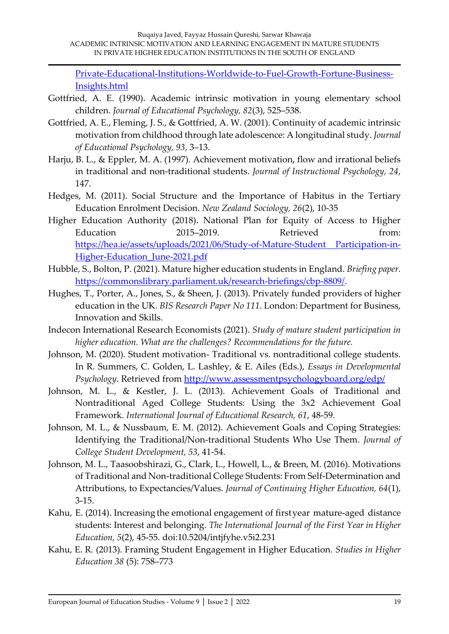[Private-Educational-Institutions-Worldwide-to-Fuel-Growth-Fortune-Business-](https://www.globenewswire.com/news-release/2021/01/18/2159744/0/en/Higher-Education-Market-to-Hit-2-367-51-Billion-by-2027-Increasing-Presence-of-Private-Educational-Institutions-Worldwide-to-Fuel-Growth-Fortune-Business-Insights.html)[Insights.html](https://www.globenewswire.com/news-release/2021/01/18/2159744/0/en/Higher-Education-Market-to-Hit-2-367-51-Billion-by-2027-Increasing-Presence-of-Private-Educational-Institutions-Worldwide-to-Fuel-Growth-Fortune-Business-Insights.html)

- Gottfried, A. E. (1990). Academic intrinsic motivation in young elementary school children. *Journal of Educational Psychology, 82*(3), 525–538.
- Gottfried, A. E., Fleming, J. S., & Gottfried, A. W. (2001). Continuity of academic intrinsic motivation from childhood through late adolescence: A longitudinal study. *Journal of Educational Psychology, 93*, 3–13.
- Harju, B. L., & Eppler, M. A. (1997). Achievement motivation, flow and irrational beliefs in traditional and non-traditional students. *Journal of Instructional Psychology, 24*, 147.
- Hedges, M. (2011). Social Structure and the Importance of Habitus in the Tertiary Education Enrolment Decision. *New Zealand Sociology, 26*(2), 10-35
- Higher Education Authority (2018). National Plan for Equity of Access to Higher Education 2015–2019. Retrieved from: [https://hea.ie/assets/uploads/2021/06/Study-of-Mature-Student Participation-in-](https://hea.ie/assets/uploads/2021/06/Study-of-Mature-Student%20Participation-in-Higher-Education_June-2021.pdf)[Higher-Education\\_June-2021.pdf](https://hea.ie/assets/uploads/2021/06/Study-of-Mature-Student%20Participation-in-Higher-Education_June-2021.pdf)
- Hubble, S., Bolton, P. (2021). Mature higher education students in England. *Briefing paper.*  [https://commonslibrary.parliament.uk/research-briefings/cbp-8809/.](https://commonslibrary.parliament.uk/research-briefings/cbp-8809/)
- Hughes, T., Porter, A., Jones, S., & Sheen, J. (2013). Privately funded providers of higher education in the UK. *BIS Research Paper No 111*. London: Department for Business, Innovation and Skills.
- Indecon International Research Economists (2021). *Study of mature student participation in higher education. What are the challenges? Recommendations for the future.*
- Johnson, M. (2020). Student motivation- Traditional vs. nontraditional college students. In R. Summers, C. Golden, L. Lashley, & E. Ailes (Eds.), *Essays in Developmental Psychology*. Retrieved from<http://www.assessmentpsychologyboard.org/edp/>
- Johnson, M. L., & Kestler, J. L. (2013). Achievement Goals of Traditional and Nontraditional Aged College Students: Using the 3x2 Achievement Goal Framework. *International Journal of Educational Research, 61*, 48-59.
- Johnson, M. L., & Nussbaum, E. M. (2012). Achievement Goals and Coping Strategies: Identifying the Traditional/Non-traditional Students Who Use Them. *Journal of College Student Development, 53*, 41-54.
- Johnson, M. L., Taasoobshirazi, G., Clark, L., Howell, L., & Breen, M. (2016). Motivations of Traditional and Non-traditional College Students: From Self-Determination and Attributions, to Expectancies/Values. *Journal of Continuing Higher Education, 64*(1), 3-15.
- Kahu, E. (2014). Increasing the emotional engagement of firstyear mature‐aged distance students: Interest and belonging. *The International Journal of the First Year in Higher Education, 5*(2), 45‐55. doi:10.5204/intjfyhe.v5i2.231
- Kahu, E. R. (2013). Framing Student Engagement in Higher Education. *Studies in Higher Education 38* (5): 758–773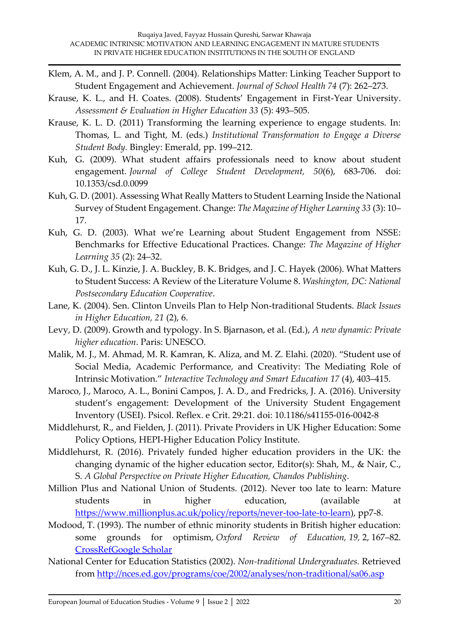- Klem, A. M., and J. P. Connell. (2004). Relationships Matter: Linking Teacher Support to Student Engagement and Achievement. *Journal of School Health 74* (7): 262–273.
- Krause, K. L., and H. Coates. (2008). Students' Engagement in First-Year University. *Assessment & Evaluation in Higher Education 33* (5): 493–505.
- Krause, K. L. D. (2011) Transforming the learning experience to engage students. In: Thomas, L. and Tight, M. (eds.) *Institutional Transformation to Engage a Diverse Student Body.* Bingley: Emerald, pp. 199–212.
- Kuh, G. (2009). What student affairs professionals need to know about student engagement. *Journal of College Student Development, 50*(6), 683‐706. doi: 10.1353/csd.0.0099
- Kuh, G. D. (2001). Assessing What Really Matters to Student Learning Inside the National Survey of Student Engagement. Change: *The Magazine of Higher Learning 33* (3): 10– 17.
- Kuh, G. D. (2003). What we're Learning about Student Engagement from NSSE: Benchmarks for Effective Educational Practices. Change: *The Magazine of Higher Learning 35* (2): 24–32.
- Kuh, G. D., J. L. Kinzie, J. A. Buckley, B. K. Bridges, and J. C. Hayek (2006). What Matters to Student Success: A Review of the Literature Volume 8. *Washington, DC: National Postsecondary Education Cooperative*.
- Lane, K. (2004). Sen. Clinton Unveils Plan to Help Non-traditional Students. *Black Issues in Higher Education, 21* (2), 6.
- Levy, D. (2009). Growth and typology. In S. Bjarnason, et al. (Ed.), *A new dynamic: Private higher education*. Paris: UNESCO.
- Malik, M. J., M. Ahmad, M. R. Kamran, K. Aliza, and M. Z. Elahi. (2020). "Student use of Social Media, Academic Performance, and Creativity: The Mediating Role of Intrinsic Motivation." *Interactive Technology and Smart Education 17* (4), 403–415.
- Maroco, J., Maroco, A. L., Bonini Campos, J. A. D., and Fredricks, J. A. (2016). University student's engagement: Development of the University Student Engagement Inventory (USEI). Psicol. Reflex. e Crit. 29:21. doi: 10.1186/s41155-016-0042-8
- Middlehurst, R., and Fielden, J. (2011). Private Providers in UK Higher Education: Some Policy Options, HEPI-Higher Education Policy Institute.
- Middlehurst, R. (2016). Privately funded higher education providers in the UK: the changing dynamic of the higher education sector, Editor(s): Shah, M., & Nair, C., S. *A Global Perspective on Private Higher Education, Chandos Publishing*.
- Million Plus and National Union of Students. (2012). Never too late to learn: Mature students in higher education, (available at [https://www.millionplus.ac.uk/policy/reports/never-too-late-to-learn\)](https://www.millionplus.ac.uk/policy/reports/never-too-late-to-learn), pp7-8.
- Modood, T. (1993). The number of ethnic minority students in British higher education: some grounds for optimism, *Oxford Review of Education, 19,* 2, 167–82. [CrossRef](http://dx.doi.org/10.1080/0305498930190204)[Google Scholar](https://scholar.google.com/scholar_lookup?title=The+number+of+ethnic+minority+students+in+British+higher+education%3A+some+grounds+for+optimism&author=Modood+T.&publication+year=1993&journal=Oxford+Review+of+Education&volume=19&doi=10.1080%2F0305498930190204)
- National Center for Education Statistics (2002). *Non-traditional Undergraduates.* Retrieved from<http://nces.ed.gov/programs/coe/2002/analyses/non-traditional/sa06.asp>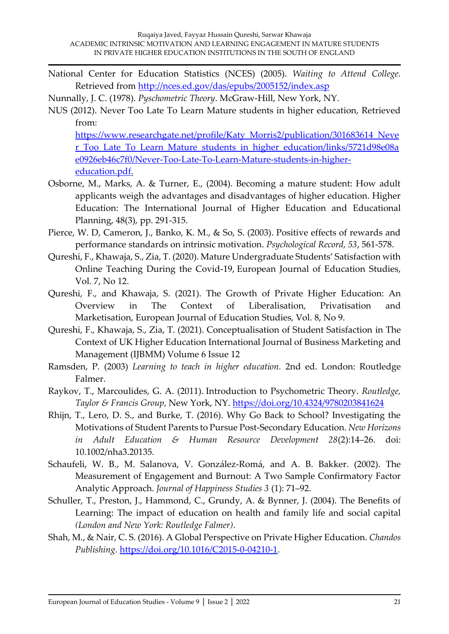National Center for Education Statistics (NCES) (2005). *Waiting to Attend College.*  Retrieved from<http://nces.ed.gov/das/epubs/2005152/index.asp>

Nunnally, J. C. (1978). *Pyschometric Theory*. McGraw-Hill, New York, NY.

NUS (2012). Never Too Late To Learn Mature students in higher education, Retrieved from:

[https://www.researchgate.net/profile/Katy\\_Morris2/publication/301683614\\_Neve](https://www.researchgate.net/profile/Katy_Morris2/publication/301683614_Never_Too_Late_To_Learn_Mature_students_in_higher_education/links/5721d98e08ae0926eb46c7f0/Never-Too-Late-To-Learn-Mature-students-in-higher-education.pdf) [r\\_Too\\_Late\\_To\\_Learn\\_Mature\\_students\\_in\\_higher\\_education/links/5721d98e08a](https://www.researchgate.net/profile/Katy_Morris2/publication/301683614_Never_Too_Late_To_Learn_Mature_students_in_higher_education/links/5721d98e08ae0926eb46c7f0/Never-Too-Late-To-Learn-Mature-students-in-higher-education.pdf) [e0926eb46c7f0/Never-Too-Late-To-Learn-Mature-students-in-higher](https://www.researchgate.net/profile/Katy_Morris2/publication/301683614_Never_Too_Late_To_Learn_Mature_students_in_higher_education/links/5721d98e08ae0926eb46c7f0/Never-Too-Late-To-Learn-Mature-students-in-higher-education.pdf)[education.pdf.](https://www.researchgate.net/profile/Katy_Morris2/publication/301683614_Never_Too_Late_To_Learn_Mature_students_in_higher_education/links/5721d98e08ae0926eb46c7f0/Never-Too-Late-To-Learn-Mature-students-in-higher-education.pdf)

- Osborne, M., Marks, A. & Turner, E., (2004). Becoming a mature student: How adult applicants weigh the advantages and disadvantages of higher education. Higher Education: The International Journal of Higher Education and Educational Planning, 48(3), pp. 291-315.
- Pierce, W. D, Cameron, J., Banko, K. M., & So, S. (2003). Positive effects of rewards and performance standards on intrinsic motivation. *Psychological Record, 53*, 561-578.
- Qureshi, F., Khawaja, S., Zia, T. (2020). Mature Undergraduate Students' Satisfaction with Online Teaching During the Covid-19, European Journal of Education Studies, Vol. 7, No 12.
- Qureshi, F., and Khawaja, S. (2021). The Growth of Private Higher Education: An Overview in The Context of Liberalisation, Privatisation and Marketisation, European Journal of Education Studies, Vol. 8, No 9.
- Qureshi, F., Khawaja, S., Zia, T. (2021). Conceptualisation of Student Satisfaction in The Context of UK Higher Education International Journal of Business Marketing and Management (IJBMM) Volume 6 Issue 12
- Ramsden, P. (2003) *Learning to teach in higher education.* 2nd ed. London: Routledge Falmer.
- Raykov, T., Marcoulides, G. A. (2011). Introduction to Psychometric Theory. *Routledge, Taylor & Francis Group*, New York, NY. <https://doi.org/10.4324/9780203841624>
- Rhijn, T., Lero, D. S., and Burke, T. (2016). Why Go Back to School? Investigating the Motivations of Student Parents to Pursue Post‐Secondary Education. *New Horizons in Adult Education & Human Resource Development 28*(2):14–26. doi: 10.1002/nha3.20135.
- Schaufeli, W. B., M. Salanova, V. González-Romá, and A. B. Bakker. (2002). The Measurement of Engagement and Burnout: A Two Sample Confirmatory Factor Analytic Approach. *Journal of Happiness Studies 3* (1): 71–92.
- Schuller, T., Preston, J., Hammond, C., Grundy, A. & Bynner, J. (2004). The Benefits of Learning: The impact of education on health and family life and social capital *(London and New York: Routledge Falmer)*.
- Shah, M., & Nair, C. S. (2016). A Global Perspective on Private Higher Education. *Chandos Publishing.* [https://doi.org/10.1016/C2015-0-04210-1.](https://doi.org/10.1016/C2015-0-04210-1)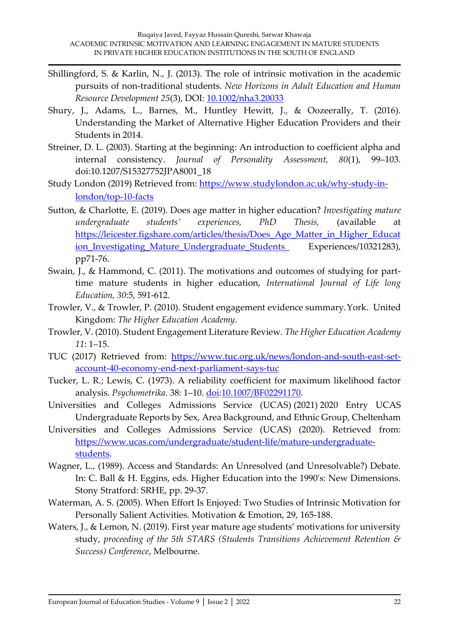- Shillingford, S. & Karlin, N., J. (2013). The role of intrinsic motivation in the academic pursuits of non-traditional students. *New Horizons in Adult Education and Human Resource Development 25*(3), DOI: [10.1002/nha3.20033](http://dx.doi.org/10.1002/nha3.20033)
- Shury, J., Adams, L., Barnes, M., Huntley Hewitt, J., & Oozeerally, T. (2016). Understanding the Market of Alternative Higher Education Providers and their Students in 2014.
- Streiner, D. L. (2003). Starting at the beginning: An introduction to coefficient alpha and internal consistency. *Journal of Personality Assessment, 80*(1), 99–103. doi:10.1207/S15327752JPA8001\_18
- Study London (2019) Retrieved from: [https://www.studylondon.ac.uk/why-study-in](https://www.studylondon.ac.uk/why-study-in-london/top-10-facts)[london/top-10-facts](https://www.studylondon.ac.uk/why-study-in-london/top-10-facts)
- Sutton, & Charlotte, E. (2019). Does age matter in higher education? *Investigating mature undergraduate students' experiences, PhD Thesis,* (available at [https://leicester.figshare.com/articles/thesis/Does\\_Age\\_Matter\\_in\\_Higher\\_Educat](https://leicester.figshare.com/articles/thesis/Does_Age_Matter_in_Higher_Education_Investigating_Mature_Undergraduate_Students_) ion Investigating Mature Undergraduate Students Experiences/10321283), pp71-76.
- Swain, J., & Hammond, C. (2011). The motivations and outcomes of studying for parttime mature students in higher education, *International Journal of Life long Education, 30*:5, 591-612.
- Trowler, V., & Trowler, P. (2010). Student engagement evidence summary.York. United Kingdom: *The Higher Education Academy*.
- Trowler, V. (2010). Student Engagement Literature Review. *The Higher Education Academy 11*: 1–15.
- TUC (2017) Retrieved from: [https://www.tuc.org.uk/news/london-and-south-east-set](https://www.tuc.org.uk/news/london-and-south-east-set-account-40-economy-end-next-parliament-says-tuc)[account-40-economy-end-next-parliament-says-tuc](https://www.tuc.org.uk/news/london-and-south-east-set-account-40-economy-end-next-parliament-says-tuc)
- Tucker, L. R.; Lewis, C. (1973). A reliability coefficient for maximum likelihood factor analysis. *Psychometrika*. 38: 1–10. [doi:](https://en.wikipedia.org/wiki/Doi_(identifier))[10.1007/BF02291170.](https://doi.org/10.1007%2FBF02291170)
- Universities and Colleges Admissions Service (UCAS) (2021) 2020 Entry UCAS Undergraduate Reports by Sex, Area Background, and Ethnic Group, Cheltenham
- Universities and Colleges Admissions Service (UCAS) (2020). Retrieved from: [https://www.ucas.com/undergraduate/student-life/mature-undergraduate](https://www.ucas.com/undergraduate/student-life/mature-undergraduate-students)[students.](https://www.ucas.com/undergraduate/student-life/mature-undergraduate-students)
- Wagner, L., (1989). Access and Standards: An Unresolved (and Unresolvable?) Debate. In: C. Ball & H. Eggins, eds. Higher Education into the 1990's: New Dimensions. Stony Stratford: SRHE, pp. 29-37.
- Waterman, A. S. (2005). When Effort Is Enjoyed: Two Studies of Intrinsic Motivation for Personally Salient Activities. Motivation & Emotion, 29, 165-188.
- Waters, J., & Lemon, N. (2019). First year mature age students' motivations for university study, *proceeding of the 5th STARS (Students Transitions Achievement Retention & Success) Conference*, Melbourne.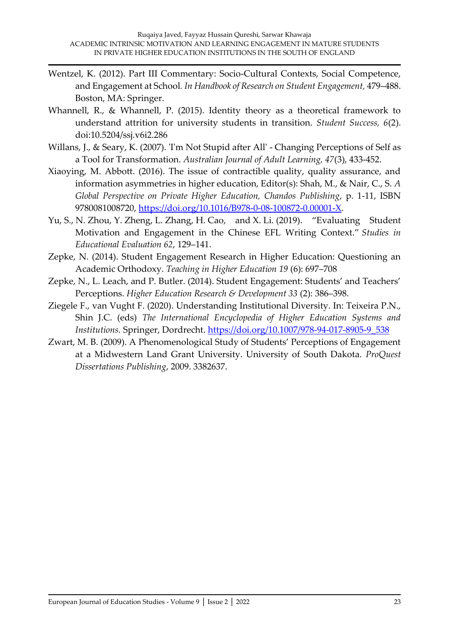- Wentzel, K. (2012). Part III Commentary: Socio-Cultural Contexts, Social Competence, and Engagement at School*. In Handbook of Research on Student Engagement,* 479–488. Boston, MA: Springer.
- Whannell, R., & Whannell, P. (2015). Identity theory as a theoretical framework to understand attrition for university students in transition. *Student Success, 6*(2). doi:10.5204/ssj.v6i2.286
- Willans, J., & Seary, K. (2007). 'I'm Not Stupid after All' Changing Perceptions of Self as a Tool for Transformation. *Australian Journal of Adult Learning, 47*(3), 433-452.
- Xiaoying, M. Abbott. (2016). The issue of contractible quality, quality assurance, and information asymmetries in higher education, Editor(s): Shah, M., & Nair, C., S. *A Global Perspective on Private Higher Education, Chandos Publishing*, p. 1-11, ISBN 9780081008720, [https://doi.org/10.1016/B978-0-08-100872-0.00001-X.](https://doi.org/10.1016/B978-0-08-100872-0.00001-X)
- Yu, S., N. Zhou, Y. Zheng, L. Zhang, H. Cao, and X. Li. (2019). "Evaluating Student Motivation and Engagement in the Chinese EFL Writing Context." *Studies in Educational Evaluation 62*, 129–141.
- Zepke, N. (2014). Student Engagement Research in Higher Education: Questioning an Academic Orthodoxy. *Teaching in Higher Education 19* (6): 697–708
- Zepke, N., L. Leach, and P. Butler. (2014). Student Engagement: Students' and Teachers' Perceptions. *Higher Education Research & Development 33* (2): 386–398.
- Ziegele F., van Vught F. (2020). Understanding Institutional Diversity. In: Teixeira P.N., Shin J.C. (eds) *The International Encyclopedia of Higher Education Systems and Institutions.* Springer, Dordrecht. [https://doi.org/10.1007/978-94-017-8905-9\\_538](https://doi.org/10.1007/978-94-017-8905-9_538)
- Zwart, M. B. (2009). A Phenomenological Study of Students' Perceptions of Engagement at a Midwestern Land Grant University. University of South Dakota. *ProQuest Dissertations Publishing*, 2009. 3382637.